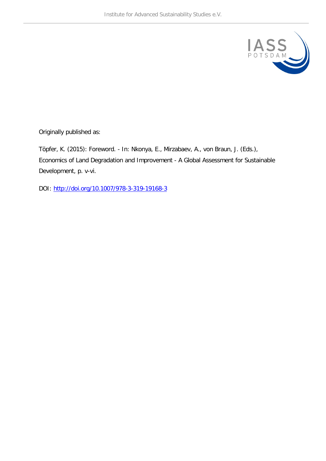

Originally published as:

Töpfer, K. (2015): Foreword. - In: Nkonya, E., Mirzabaev, A., von Braun, J. (Eds.), Economics of Land Degradation and Improvement - A Global Assessment for Sustainable Development, p. v-vi.

DOI:<http://doi.org/10.1007/978-3-319-19168-3>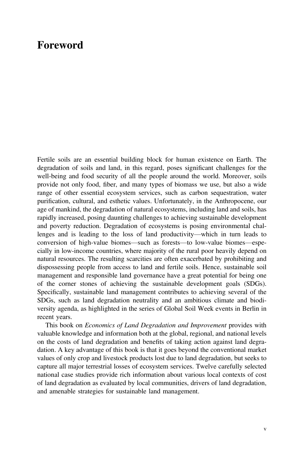## Foreword

Fertile soils are an essential building block for human existence on Earth. The degradation of soils and land, in this regard, poses significant challenges for the well-being and food security of all the people around the world. Moreover, soils provide not only food, fiber, and many types of biomass we use, but also a wide range of other essential ecosystem services, such as carbon sequestration, water purification, cultural, and esthetic values. Unfortunately, in the Anthropocene, our age of mankind, the degradation of natural ecosystems, including land and soils, has rapidly increased, posing daunting challenges to achieving sustainable development and poverty reduction. Degradation of ecosystems is posing environmental challenges and is leading to the loss of land productivity—which in turn leads to conversion of high-value biomes—such as forests—to low-value biomes—especially in low-income countries, where majority of the rural poor heavily depend on natural resources. The resulting scarcities are often exacerbated by prohibiting and dispossessing people from access to land and fertile soils. Hence, sustainable soil management and responsible land governance have a great potential for being one of the corner stones of achieving the sustainable development goals (SDGs). Specifically, sustainable land management contributes to achieving several of the SDGs, such as land degradation neutrality and an ambitious climate and biodiversity agenda, as highlighted in the series of Global Soil Week events in Berlin in recent years.

This book on Economics of Land Degradation and Improvement provides with valuable knowledge and information both at the global, regional, and national levels on the costs of land degradation and benefits of taking action against land degradation. A key advantage of this book is that it goes beyond the conventional market values of only crop and livestock products lost due to land degradation, but seeks to capture all major terrestrial losses of ecosystem services. Twelve carefully selected national case studies provide rich information about various local contexts of cost of land degradation as evaluated by local communities, drivers of land degradation, and amenable strategies for sustainable land management.